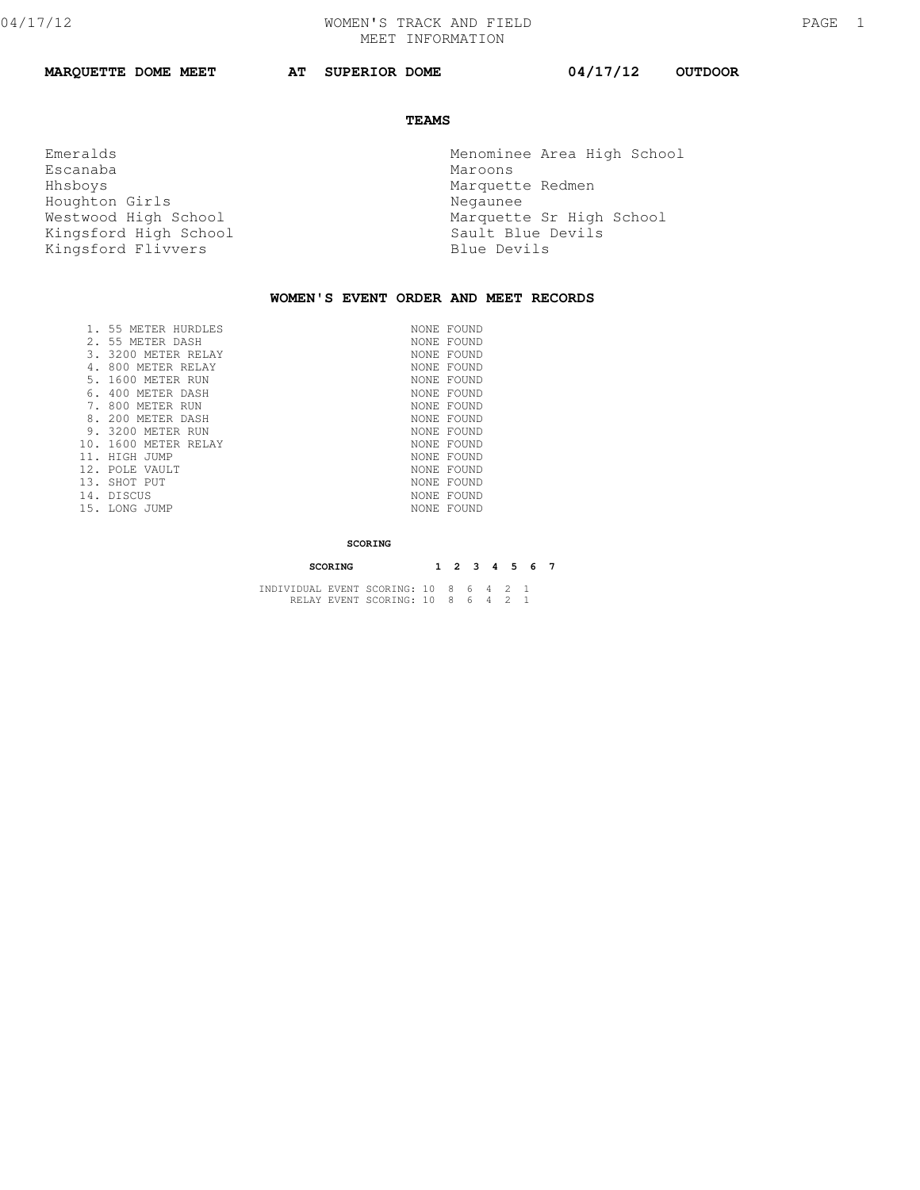**MARQUETTE DOME MEET AT SUPERIOR DOME 04/17/12 OUTDOOR** 

## **TEAMS**

Escanaba<br>Hhsboys Houghton Girls **Negaunee** Kingsford High School Sault Blue l<br>Kingsford Flivvers Blue Devils Kingsford Flivvers

 Emeralds Menominee Area High School Marquette Redmen Westwood High School and Marquette Sr High School Kingsford High School Marquette Sr High School

## **WOMEN'S EVENT ORDER AND MEET RECORDS**

|     | 55 METER HURDLES  | NONE FOUND |
|-----|-------------------|------------|
|     | 2. 55 METER DASH  | NONE FOUND |
| 3.  | 3200 METER RELAY  | NONE FOUND |
|     | 800 METER RELAY   | NONE FOUND |
|     | 5, 1600 METER RUN | NONE FOUND |
| 6.  | 400 METER DASH    | NONE FOUND |
|     | 800 METER RUN     | NONE FOUND |
| 8.  | 200 METER DASH    | NONE FOUND |
|     | 9. 3200 METER RUN | NONE FOUND |
| 10. | 1600 METER RELAY  | NONE FOUND |
| 11. | HIGH JUMP         | NONE FOUND |
|     | 12. POLE VAULT    | NONE FOUND |
| 13. | SHOT PUT          | NONE FOUND |
|     | 14. DISCUS        | NONE FOUND |
|     | 15. LONG JUMP     | NONE FOUND |
|     |                   |            |

## **SCORING**

| SCORING                                |  |  |  |  |  | 1 2 3 4 5 6 7 |  |
|----------------------------------------|--|--|--|--|--|---------------|--|
| INDIVIDUAL EVENT SCORING: 10 8 6 4 2 1 |  |  |  |  |  |               |  |
| RELAY EVENT SCORING: 10 8 6 4 2 1      |  |  |  |  |  |               |  |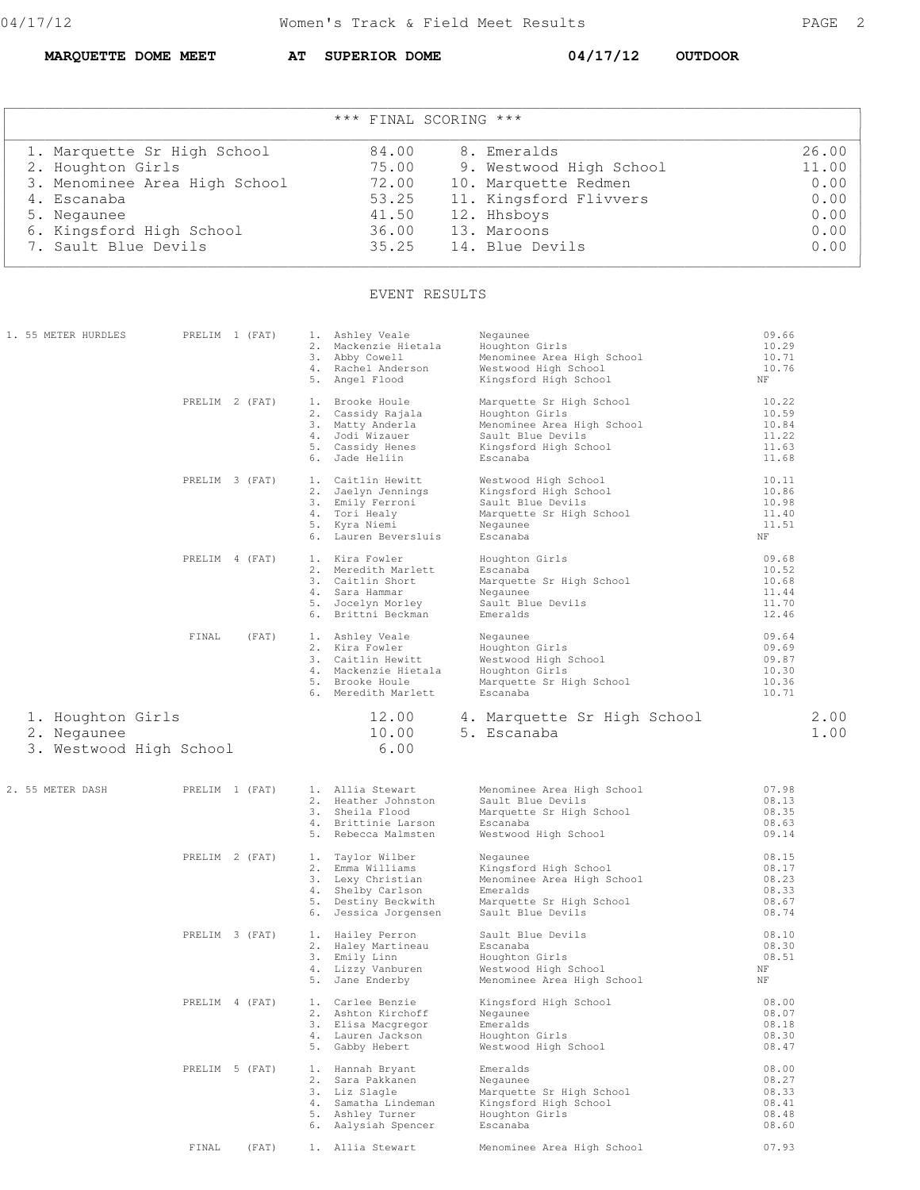**MARQUETTE DOME MEET AT SUPERIOR DOME 04/17/12 OUTDOOR** 

| *** FINAL SCORING ***         |       |                         |       |  |  |  |  |
|-------------------------------|-------|-------------------------|-------|--|--|--|--|
| 1. Marquette Sr High School   | 84.00 | 8. Emeralds             | 26.00 |  |  |  |  |
| 2. Houghton Girls             | 75.00 | 9. Westwood High School | 11.00 |  |  |  |  |
| 3. Menominee Area High School | 72.00 | 10. Marquette Redmen    | 0.00  |  |  |  |  |
| 4. Escanaba                   | 53.25 | 11. Kingsford Flivvers  | 0.00  |  |  |  |  |
| 5. Negaunee                   | 41.50 | 12. Hhsboys             | 0.00  |  |  |  |  |
| 6. Kingsford High School      | 36.00 | 13. Maroons             | 0.00  |  |  |  |  |
| 7. Sault Blue Devils          | 35.25 | 14. Blue Devils         | 0.00  |  |  |  |  |

## EVENT RESULTS

| 1. 55 METER HURDLES                                         | PRELIM 1 (FAT) | 1. Ashley Veale<br>2. Mackenzie Hietala<br>3. Abby Cowell<br>4. Rachel Anderson<br>5. Angel Flood                             | Negaunee<br>Houghton Girls<br>Menominee Area High School<br>Westwood High School<br>Kingsford High School                                                                                                                                                         | 09.66<br>10.29<br>10.71<br>10.76<br>NF                 |
|-------------------------------------------------------------|----------------|-------------------------------------------------------------------------------------------------------------------------------|-------------------------------------------------------------------------------------------------------------------------------------------------------------------------------------------------------------------------------------------------------------------|--------------------------------------------------------|
|                                                             | PRELIM 2 (FAT) | 1. Brooke Houle<br>2. Cassidy Rajala<br>3. Matty Anderla<br>4. Jodi Wizauer<br>5. Cassidy Henes<br>6. Jade Heliin             | Marquette Sr High School 10.22<br>Houghton Girls<br>Menominee Area High School<br>Menominee Area High School<br>Sault Blue Devils<br>Kingsford High School<br>Escanaba                                                                                            | 10.59<br>$10.84$<br>$11.22$<br>11.22<br>11.63<br>11.68 |
|                                                             | PRELIM 3 (FAT) | 1. Caitlin Hewitt<br>2. Jaelyn Jennings<br>3. Emily Feroni<br>4. Tori Healy<br>5. Kyra Niemi<br>6. Lauren Beversluis          | Westwood High School<br>Kingsford High School<br>Sault Blue Devils<br>Marquette Sr High School<br>Negaunee<br>Escanaba                                                                                                                                            | 10.11<br>10.86<br>10.98<br>11.40<br>11.51<br>NF        |
|                                                             | PRELIM 4 (FAT) | 1. Kira Fowler<br>2. Meredith Marlett<br>3. Caitlin Short<br>4. Sara Hammar<br>5. Jocelyn Morley<br>6. Brittni Beckman        | Houghton Girls<br>Escanaba<br>Escanaba<br>Marquette Sr High School<br>Negaunee<br>Sault Blue Devils<br>Emeralds                                                                                                                                                   | 09.68<br>10.52<br>10.68<br>11.44<br>11.70<br>12.46     |
|                                                             | FINAL<br>(FAT) | 6. Meredith Marlett                                                                                                           | Marquette Sr High School<br>Escanaba                                                                                                                                                                                                                              | 09.64<br>09.69<br>$09.87$<br>$10.30$<br>10.36<br>10.71 |
| 1. Houghton Girls<br>2. Negaunee<br>3. Westwood High School |                | 10.00<br>6.00                                                                                                                 | 12.00 4. Marquette Sr High School<br>5. Escanaba                                                                                                                                                                                                                  | 2.00<br>1.00                                           |
| 2. 55 METER DASH                                            | PRELIM 1 (FAT) | 1. Allia Stewart                                                                                                              | Menominee Area High School 07.98<br>2. Heather Johnston and Sault Blue Devils<br>3. Sheila Flood Marquette Sr High School<br>4. Brittinie Larson and Escanaba<br>5. Rebecca Malmsten and Mestwood High School<br>Marquette Sr High School<br>Westwood High School | 08.13<br>08.35<br>08.63<br>09.14                       |
|                                                             | PRELIM 2 (FAT) | 1. Taylor Wilber<br>2. Emma Williams<br>3. Lexy Christian<br>4. Shelby Carlson<br>5. Destiny Beckwith<br>6. Jessica Jorgensen | Negaunee<br>Kingsford High School<br>Menominee Area High School<br>Emeralds<br>Marquette Sr High School<br>Sault Blue Devils                                                                                                                                      | 08.15<br>08.17<br>08.23<br>08.33<br>08.67<br>08.74     |
|                                                             | PRELIM 3 (FAT) | 1. Hailey Perron                                                                                                              | Sault Blue Devils<br>Menominee Area High School                                                                                                                                                                                                                   | 08.10<br>08.30<br>08.51<br>NF<br>NF                    |
|                                                             |                | 2. Ashton Kirchoff<br>3. Elisa Macgregor<br>4. Lauren Jackson<br>5. Gabby Hebert                                              | PRELIM 4 (FAT) 1. Carlee Benzie Kingsford High School<br>Negaunee<br>Emeralds<br>Houghton Girls<br>Westwood High School                                                                                                                                           | 08.00<br>08.07<br>08.18<br>08.30<br>08.47              |
|                                                             | PRELIM 5 (FAT) | 1. Hannah Bryant<br>2. Sara Pakkanen<br>3. Liz Slagle<br>4. Samatha Lindeman<br>5. Ashley Turner<br>6. Aalysiah Spencer       | Emeralds<br>Negaunee<br>Marquette Sr High School<br>Kingsford High School<br>Houghton Girls<br>Escanaba                                                                                                                                                           | 08.00<br>08.27<br>08.33<br>08.41<br>08.48<br>08.60     |
|                                                             | FINAL<br>(FAT) | 1. Allia Stewart                                                                                                              | Menominee Area High School                                                                                                                                                                                                                                        | 07.93                                                  |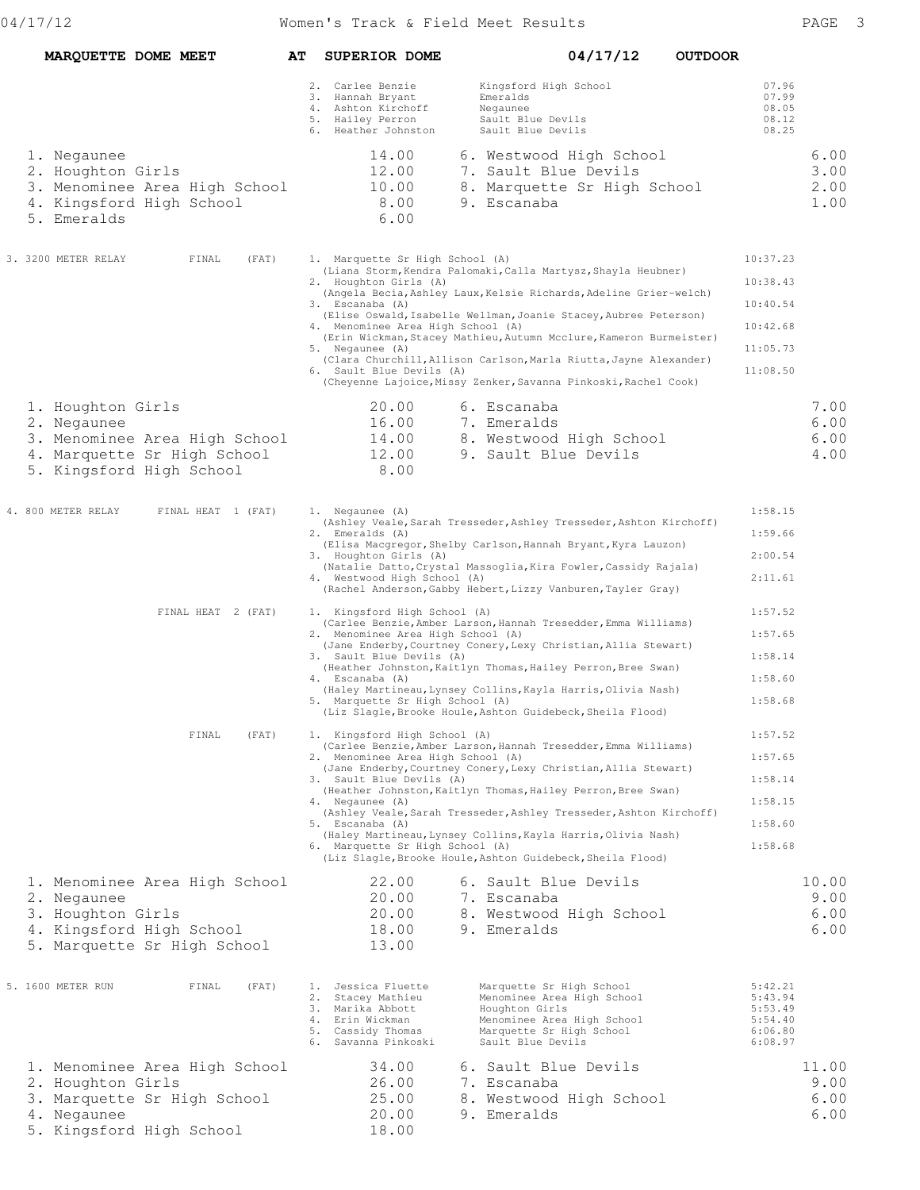| MARQUETTE DOME MEET                                                                                                          | AT | <b>SUPERIOR DOME</b>                                                                                                                                                   | 04/17/12<br><b>OUTDOOR</b>                                                                                                                                                                                                                                                                                                                                                                                           |                                                                      |                               |
|------------------------------------------------------------------------------------------------------------------------------|----|------------------------------------------------------------------------------------------------------------------------------------------------------------------------|----------------------------------------------------------------------------------------------------------------------------------------------------------------------------------------------------------------------------------------------------------------------------------------------------------------------------------------------------------------------------------------------------------------------|----------------------------------------------------------------------|-------------------------------|
|                                                                                                                              |    | 2. Carlee Benzie<br>3. Hannah Bryant<br>4. Ashton Kirchoff<br>5. Hailey Perron<br>6. Heather Johnston                                                                  | Kingsford High School<br>Emeralds<br>Negaunee<br>Sault Blue Devils<br>Sault Blue Devils                                                                                                                                                                                                                                                                                                                              | 07.96<br>07.99<br>08.05<br>08.12<br>08.25                            |                               |
| 1. Negaunee<br>2. Houghton Girls<br>3. Menominee Area High School<br>4. Kingsford High School<br>5. Emeralds                 |    | 14.00<br>12.00<br>10.00<br>8.00<br>6.00                                                                                                                                | 6. Westwood High School<br>7. Sault Blue Devils<br>8. Marquette Sr High School<br>9. Escanaba                                                                                                                                                                                                                                                                                                                        |                                                                      | 6.00<br>3.00<br>2.00<br>1.00  |
| 3. 3200 METER RELAY<br>FINAL<br>(FAT)                                                                                        |    | 1. Marquette Sr High School (A)<br>2. Houghton Girls (A)<br>3. Escanaba (A)<br>4. Menominee Area High School (A)<br>5. Negaunee (A)<br>6. Sault Blue Devils (A)        | (Liana Storm, Kendra Palomaki, Calla Martysz, Shayla Heubner)<br>(Angela Becia, Ashley Laux, Kelsie Richards, Adeline Grier-welch)<br>(Elise Oswald, Isabelle Wellman, Joanie Stacey, Aubree Peterson)<br>(Erin Wickman, Stacey Mathieu, Autumn Mcclure, Kameron Burmeister)<br>(Clara Churchill, Allison Carlson, Marla Riutta, Jayne Alexander)<br>(Cheyenne Lajoice, Missy Zenker, Savanna Pinkoski, Rachel Cook) | 10:37.23<br>10:38.43<br>10:40.54<br>10:42.68<br>11:05.73<br>11:08.50 |                               |
| 1. Houghton Girls<br>2. Negaunee<br>3. Menominee Area High School<br>4. Marquette Sr High School<br>5. Kingsford High School |    | 20.00<br>16.00<br>14.00<br>12.00<br>8.00                                                                                                                               | 6. Escanaba<br>7. Emeralds<br>8. Westwood High School<br>9. Sault Blue Devils                                                                                                                                                                                                                                                                                                                                        |                                                                      | 7.00<br>6.00<br>6.00<br>4.00  |
| 4. 800 METER RELAY<br>FINAL HEAT 1 (FAT)                                                                                     |    | 1. Negaunee (A)<br>2. Emeralds (A)<br>3. Houghton Girls (A)<br>4. Westwood High School (A)                                                                             | (Ashley Veale, Sarah Tresseder, Ashley Tresseder, Ashton Kirchoff)<br>(Elisa Macgregor, Shelby Carlson, Hannah Bryant, Kyra Lauzon)<br>(Natalie Datto, Crystal Massoglia, Kira Fowler, Cassidy Rajala)<br>(Rachel Anderson, Gabby Hebert, Lizzy Vanburen, Tayler Gray)                                                                                                                                               | 1:58.15<br>1:59.66<br>2:00.54<br>2:11.61                             |                               |
| FINAL HEAT 2 (FAT)                                                                                                           |    | 1. Kingsford High School (A)<br>2. Menominee Area High School (A)<br>3. Sault Blue Devils (A)<br>4. Escanaba (A)<br>5. Marquette Sr High School (A)                    | (Carlee Benzie, Amber Larson, Hannah Tresedder, Emma Williams)<br>(Jane Enderby, Courtney Conery, Lexy Christian, Allia Stewart)<br>(Heather Johnston, Kaitlyn Thomas, Hailey Perron, Bree Swan)<br>(Haley Martineau, Lynsey Collins, Kayla Harris, Olivia Nash)<br>(Liz Slagle, Brooke Houle, Ashton Guidebeck, Sheila Flood)                                                                                       | 1:57.52<br>1:57.65<br>1:58.14<br>1:58.60<br>1:58.68                  |                               |
| FINAL<br>(FAT)                                                                                                               |    | 1. Kingsford High School (A)<br>2. Menominee Area High School (A)<br>3. Sault Blue Devils (A)<br>4. Negaunee (A)<br>5. Escanaba (A)<br>6. Marquette Sr High School (A) | (Carlee Benzie, Amber Larson, Hannah Tresedder, Emma Williams)<br>(Jane Enderby, Courtney Conery, Lexy Christian, Allia Stewart)<br>(Heather Johnston, Kaitlyn Thomas, Hailey Perron, Bree Swan)<br>(Ashley Veale, Sarah Tresseder, Ashley Tresseder, Ashton Kirchoff)<br>(Haley Martineau, Lynsey Collins, Kayla Harris, Olivia Nash)<br>(Liz Slagle, Brooke Houle, Ashton Guidebeck, Sheila Flood)                 | 1:57.52<br>1:57.65<br>1:58.14<br>1:58.15<br>1:58.60<br>1:58.68       |                               |
| 1. Menominee Area High School<br>2. Negaunee<br>3. Houghton Girls<br>4. Kingsford High School<br>5. Marquette Sr High School |    | 22.00<br>20.00<br>20.00<br>18.00<br>13.00                                                                                                                              | 6. Sault Blue Devils<br>7. Escanaba<br>8. Westwood High School<br>9. Emeralds                                                                                                                                                                                                                                                                                                                                        |                                                                      | 10.00<br>9.00<br>6.00<br>6.00 |
| 5. 1600 METER RUN<br>FINAL<br>(FAT)                                                                                          |    | 1. Jessica Fluette<br>2. Stacey Mathieu<br>3. Marika Abbott<br>4. Erin Wickman<br>5. Cassidy Thomas<br>6. Savanna Pinkoski                                             | Marquette Sr High School<br>Menominee Area High School<br>Houghton Girls<br>Menominee Area High School<br>Marquette Sr High School<br>Sault Blue Devils                                                                                                                                                                                                                                                              | 5:42.21<br>5:43.94<br>5:53.49<br>5:54.40<br>6:06.80<br>6:08.97       |                               |
| 1. Menominee Area High School<br>2. Houghton Girls<br>3. Marquette Sr High School<br>4. Negaunee<br>5. Kingsford High School |    | 34.00<br>26.00<br>25.00<br>20.00<br>18.00                                                                                                                              | 6. Sault Blue Devils<br>7. Escanaba<br>8. Westwood High School<br>9. Emeralds                                                                                                                                                                                                                                                                                                                                        |                                                                      | 11.00<br>9.00<br>6.00<br>6.00 |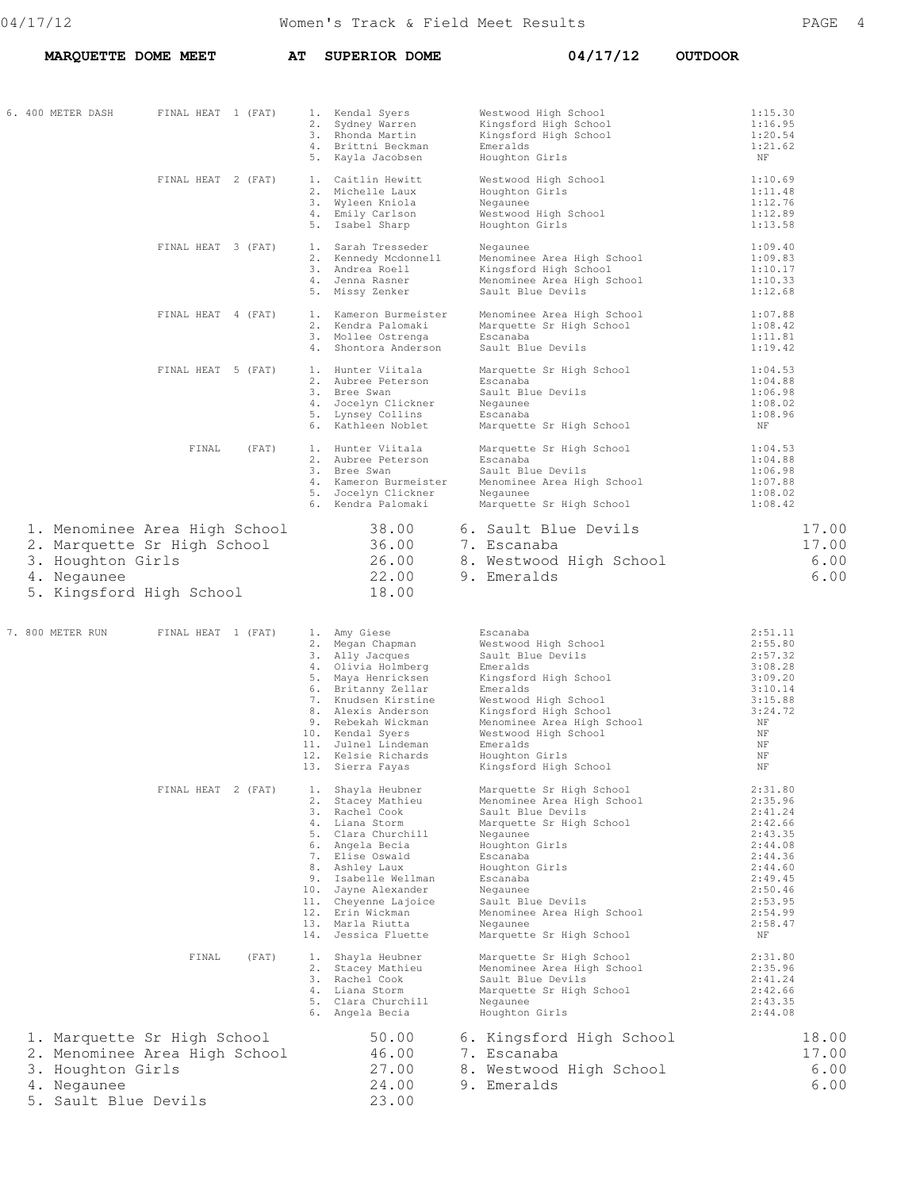**MARQUETTE DOME MEET AT SUPERIOR DOME 04/17/12 OUTDOOR** 

| 6. 400 METER DASH                                           | FINAL HEAT 1 (FAT)                                                                       | 1. Kendal Syers                                                                                                                                                                                                                                                                                  | Westwood High School                                                                                                                                                                                                                                                                   | 1:15.30                                                                                                                                           |
|-------------------------------------------------------------|------------------------------------------------------------------------------------------|--------------------------------------------------------------------------------------------------------------------------------------------------------------------------------------------------------------------------------------------------------------------------------------------------|----------------------------------------------------------------------------------------------------------------------------------------------------------------------------------------------------------------------------------------------------------------------------------------|---------------------------------------------------------------------------------------------------------------------------------------------------|
|                                                             |                                                                                          | 2. Sydney Warren<br>3. Rhonda Martin<br>4. Brittni Beckman<br>5. Kayla Jacobsen                                                                                                                                                                                                                  | Kingsford High School<br>Kingsford High School<br>Emeralds<br>Houghton Girls                                                                                                                                                                                                           | 1:16.95<br>1:20.54<br>1:21.62<br>ΝF                                                                                                               |
|                                                             | FINAL HEAT 2 (FAT)                                                                       | 1. Caitlin Hewitt<br>2. Michelle Laux<br>3. Wyleen Kniola<br>4. Emily Carlson<br>5. Isabel Sharp                                                                                                                                                                                                 | Westwood High School<br>Houghton Girls<br>Negaunee<br>Westwood High School<br>Houghton Girls                                                                                                                                                                                           | 1:10.69<br>1:11.48<br>1:12.76<br>1:12.89<br>1:13.58                                                                                               |
|                                                             | FINAL HEAT 3 (FAT)                                                                       | 1. Sarah Tresseder<br>2. Kennedy Mcdonnell<br>3. Andrea Roell<br>4. Jenna Rasner<br>5. Missy Zenker                                                                                                                                                                                              | Negaunee<br>Menominee Area High School<br>Kingsford High School<br>Menominee Area High School<br>Sault Blue Devils                                                                                                                                                                     | 1:09.40<br>1:09.83<br>1:10.17<br>1:10.33<br>1:12.68                                                                                               |
|                                                             | FINAL HEAT 4 (FAT)                                                                       | 1. Kameron Burmeister<br>2. Kendra Palomaki<br>3. Mollee Ostrenga<br>4. Shontora Anderson                                                                                                                                                                                                        | Menominee Area High School<br>Marquette Sr High School<br>Escanaba<br>Sault Blue Devils                                                                                                                                                                                                | 1:07.88<br>1:08.42<br>1:11.81<br>1:19.42                                                                                                          |
|                                                             | FINAL HEAT 5 (FAT)                                                                       | 1. Hunter Viitala<br>2. Aubree Peterson<br>3. Bree Swan<br>4. Jocelyn Clickner<br>5. Lynsey Collins<br>6. Kathleen Noblet                                                                                                                                                                        | Marquette Sr High School<br>Escanaba<br>Sault Blue Devils<br>Negaunee<br>Escanaba<br>Marquette Sr High School                                                                                                                                                                          | 1:04.53<br>1:04.88<br>1:06.98<br>1:08.02<br>1:08.96<br>ΝF                                                                                         |
|                                                             | FINAL<br>(FAT)                                                                           | 1. Hunter Viitala<br>2. Aubree Peterson<br>3. Bree Swan<br>4. Kameron Burmeister<br>5. Jocelyn Clickner<br>6. Kendra Palomaki                                                                                                                                                                    | Marquette Sr High School<br>Escanaba<br>Sault Blue Devils<br>Menominee Area High School<br>Negaunee<br>Marquette Sr High School                                                                                                                                                        | 1:04.53<br>1:04.88<br>1:06.98<br>1:07.88<br>1:08.02<br>1:08.42                                                                                    |
| 3. Houghton Girls<br>4. Negaunee                            | 1. Menominee Area High School<br>2. Marquette Sr High School<br>5. Kingsford High School | 38.00<br>36.00<br>26.00<br>22.00<br>18.00                                                                                                                                                                                                                                                        | 6. Sault Blue Devils<br>7. Escanaba<br>8. Westwood High School<br>9. Emeralds                                                                                                                                                                                                          | 17.00<br>17.00<br>6.00<br>6.00                                                                                                                    |
| 7. 800 METER RUN                                            | FINAL HEAT 1 (FAT)                                                                       | 1. Amy Giese<br>2. Megan Chapman<br>3. Ally Jacques<br>4. Olivia Holmberg<br>5. Maya Henricksen<br>6. Britanny Zellar<br>7. Knudsen Kirstine<br>8. Alexis Anderson<br>9. Rebekah Wickman<br>10. Kendal Syers<br>11. Julnel Lindeman<br>12. Kelsie Richards<br>13. Sierra Fayas                   | Escanaba<br>Westwood High School<br>Sault Blue Devils<br>Emeralds<br>Kingsford High School<br>Emeralds<br>Westwood High School<br>Kingsford High School<br>Menominee Area High School<br>Westwood High School<br>Emeralds<br>Houghton Girls<br>Kingsford High School                   | 2:51.11<br>2:55.80<br>2:57.32<br>3:08.28<br>3:09.20<br>3:10.14<br>3:15.88<br>3:24.72<br>NF<br>ΝF<br>NF<br>NF<br>ΝF                                |
|                                                             | FINAL HEAT 2 (FAT)                                                                       | 1.<br>Shayla Heubner<br>2. Stacey Mathieu<br>3. Rachel Cook<br>4. Liana Storm<br>5. Clara Churchill<br>6. Angela Becia<br>7. Elise Oswald<br>8. Ashley Laux<br>9. Isabelle Wellman<br>10. Jayne Alexander<br>11. Cheyenne Lajoice<br>12. Erin Wickman<br>13. Marla Riutta<br>14. Jessica Fluette | Marquette Sr High School<br>Menominee Area High School<br>Sault Blue Devils<br>Marquette Sr High School<br>Negaunee<br>Houghton Girls<br>Escanaba<br>Houghton Girls<br>Escanaba<br>Negaunee<br>Sault Blue Devils<br>Menominee Area High School<br>Negaunee<br>Marquette Sr High School | 2:31.80<br>2:35.96<br>2:41.24<br>2:42.66<br>2:43.35<br>2:44.08<br>2:44.36<br>2:44.60<br>2:49.45<br>2:50.46<br>2:53.95<br>2:54.99<br>2:58.47<br>ΝF |
|                                                             | FINAL<br>(FAT)                                                                           | 1. Shayla Heubner<br>2. Stacey Mathieu<br>3. Rachel Cook<br>4. Liana Storm<br>5. Clara Churchill<br>6. Angela Becia                                                                                                                                                                              | Marquette Sr High School<br>Menominee Area High School<br>Sault Blue Devils<br>Marquette Sr High School<br>Negaunee<br>Houghton Girls                                                                                                                                                  | 2:31.80<br>2:35.96<br>2:41.24<br>2:42.66<br>2:43.35<br>2:44.08                                                                                    |
| 3. Houghton Girls<br>4. Negaunee<br>5.<br>Sault Blue Devils | 1. Marquette Sr High School<br>2. Menominee Area High School                             | 50.00<br>46.00<br>27.00<br>24.00<br>23.00                                                                                                                                                                                                                                                        | 6. Kingsford High School<br>7. Escanaba<br>8. Westwood High School<br>9. Emeralds                                                                                                                                                                                                      | 18.00<br>17.00<br>6.00<br>6.00                                                                                                                    |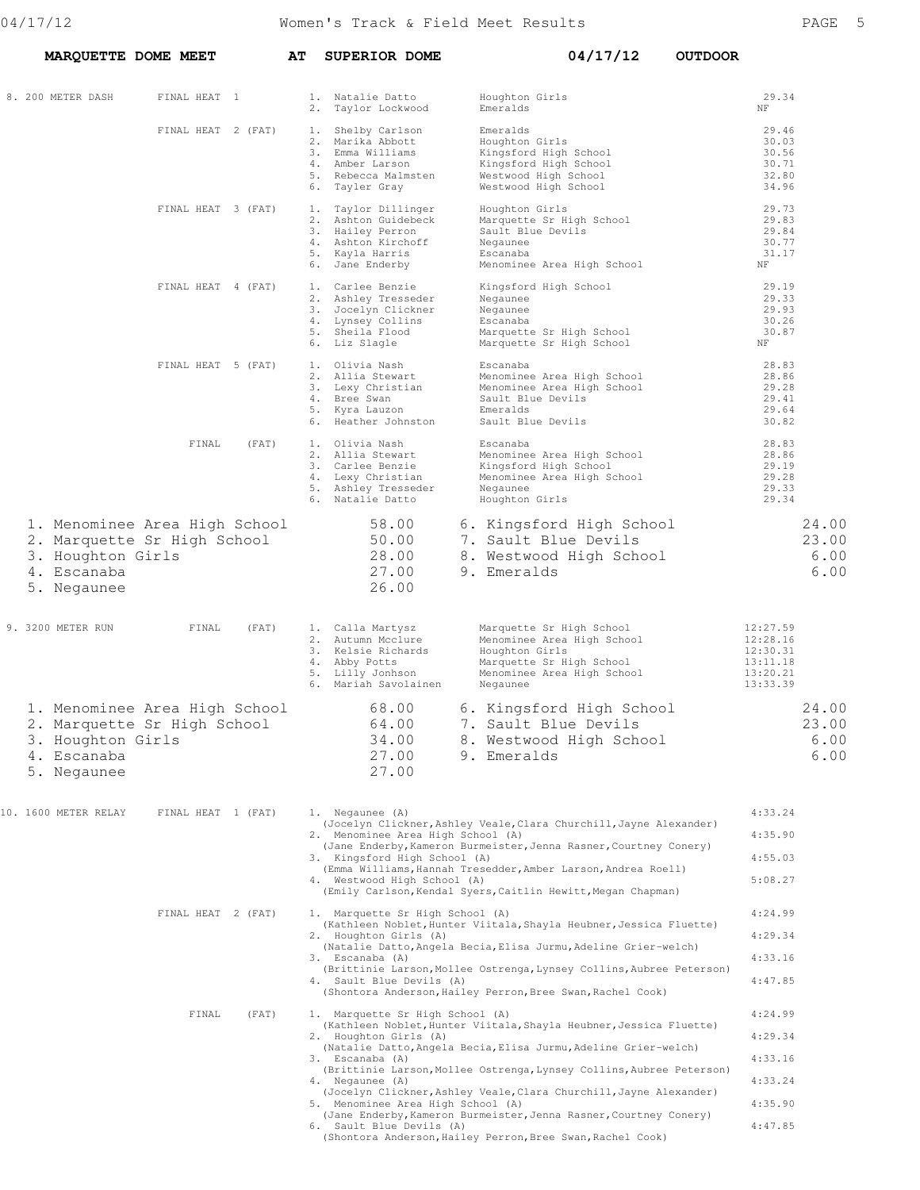| MARQUETTE DOME MEET                                                                                             |                    | AΤ | <b>SUPERIOR DOME</b>                                                                                                                                            | 04/17/12                                                                                                                                                                                                                                                                                                                                                                                                               | <b>OUTDOOR</b>                                                       |
|-----------------------------------------------------------------------------------------------------------------|--------------------|----|-----------------------------------------------------------------------------------------------------------------------------------------------------------------|------------------------------------------------------------------------------------------------------------------------------------------------------------------------------------------------------------------------------------------------------------------------------------------------------------------------------------------------------------------------------------------------------------------------|----------------------------------------------------------------------|
| 8. 200 METER DASH                                                                                               | FINAL HEAT 1       |    | 1. Natalie Datto<br>2. Taylor Lockwood                                                                                                                          | Houghton Girls<br>Emeralds                                                                                                                                                                                                                                                                                                                                                                                             | 29.34<br>ΝF                                                          |
|                                                                                                                 | FINAL HEAT 2 (FAT) |    | 1. Shelby Carlson<br>2. Marika Abbott<br>3. Emma Williams<br>4. Amber Larson<br>5. Rebecca Malmsten<br>6. Tayler Gray                                           | Emeralds<br>Houghton Girls<br>Kingsford High School<br>Kingsford High School<br>Westwood High School<br>Westwood High School                                                                                                                                                                                                                                                                                           | 29.46<br>30.03<br>30.56<br>30.71<br>32.80<br>34.96                   |
|                                                                                                                 | FINAL HEAT 3 (FAT) |    | 1. Taylor Dillinger<br>2. Ashton Guidebeck<br>3. Hailey Perron<br>4. Ashton Kirchoff<br>5. Kayla Harris<br>6. Jane Enderby                                      | Houghton Girls<br>Marquette Sr High School<br>Sault Blue Devils<br>Negaunee<br>Escanaba<br>Menominee Area High School                                                                                                                                                                                                                                                                                                  | 29.73<br>29.83<br>29.84<br>30.77<br>31.17<br>NF                      |
|                                                                                                                 | FINAL HEAT 4 (FAT) |    | 1. Carlee Benzie<br>2. Ashley Tresseder<br>3. Jocelyn Clickner<br>4. Lynsey Collins<br>5. Sheila Flood<br>6. Liz Slagle                                         | Kingsford High School<br>Negaunee<br>Negaunee<br>Escanaba<br>Marquette Sr High School<br>Marquette Sr High School                                                                                                                                                                                                                                                                                                      | 29.19<br>29.33<br>29.93<br>30.26<br>30.87<br>NF                      |
|                                                                                                                 | FINAL HEAT 5 (FAT) |    | 1. Olivia Nash<br>2. Allia Stewart<br>3. Lexy Christian<br>4. Bree Swan<br>5. Kyra Lauzon<br>6. Heather Johnston                                                | Escanaba<br>Menominee Area High School<br>Menominee Area High School<br>Sault Blue Devils<br>Emeralds<br>Sault Blue Devils                                                                                                                                                                                                                                                                                             | 28.83<br>28.86<br>29.28<br>29.41<br>29.64<br>30.82                   |
|                                                                                                                 | FINAL<br>(FAT)     |    | 1. Olivia Nash<br>2. Allia Stewart<br>3. Carlee Benzie<br>4. Lexy Christian<br>5. Ashley Tresseder<br>6. Natalie Datto                                          | Escanaba<br>Menominee Area High School<br>Kingsford High School<br>Menominee Area High School<br>Negaunee<br>Houghton Girls                                                                                                                                                                                                                                                                                            | 28.83<br>28.86<br>29.19<br>29.28<br>29.33<br>29.34                   |
| 1. Menominee Area High School<br>2. Marquette Sr High School<br>3. Houghton Girls<br>4. Escanaba<br>5. Negaunee |                    |    | 58.00<br>50.00<br>28.00<br>27.00<br>26.00                                                                                                                       | 6. Kingsford High School<br>7. Sault Blue Devils<br>8. Westwood High School<br>9. Emeralds                                                                                                                                                                                                                                                                                                                             | 24.00<br>23.00<br>6.00<br>6.00                                       |
| 9. 3200 METER RUN                                                                                               | FINAL<br>(FAT)     |    | 1. Calla Martysz<br>2. Autumn Mcclure<br>3. Kelsie Richards<br>4. Abby Potts<br>5. Lilly Jonhson<br>6. Mariah Savolainen                                        | Marquette Sr High School<br>Menominee Area High School<br>Houghton Girls<br>Marquette Sr High School<br>Menominee Area High School<br>Negaunee                                                                                                                                                                                                                                                                         | 12:27.59<br>12:28.16<br>12:30.31<br>13:11.18<br>13:20.21<br>13:33.39 |
| 1. Menominee Area High School<br>2. Marquette Sr High School<br>3. Houghton Girls<br>4. Escanaba<br>5. Negaunee |                    |    | 68.00<br>64.00<br>34.00<br>27.00<br>27.00                                                                                                                       | 6. Kingsford High School<br>7. Sault Blue Devils<br>8. Westwood High School<br>9. Emeralds                                                                                                                                                                                                                                                                                                                             | 24.00<br>23.00<br>6.00<br>6.00                                       |
| 10. 1600 METER RELAY                                                                                            | FINAL HEAT 1 (FAT) |    | 1. Negaunee (A)<br>2. Menominee Area High School (A)<br>3. Kingsford High School (A)<br>4. Westwood High School (A)                                             | (Jocelyn Clickner, Ashley Veale, Clara Churchill, Jayne Alexander)<br>(Jane Enderby, Kameron Burmeister, Jenna Rasner, Courtney Conery)<br>(Emma Williams, Hannah Tresedder, Amber Larson, Andrea Roell)<br>(Emily Carlson, Kendal Syers, Caitlin Hewitt, Megan Chapman)                                                                                                                                               | 4:33.24<br>4:35.90<br>4:55.03<br>5:08.27                             |
|                                                                                                                 | FINAL HEAT 2 (FAT) |    | 1. Marquette Sr High School (A)<br>2. Houghton Girls (A)<br>3. Escanaba (A)<br>4. Sault Blue Devils (A)                                                         | (Kathleen Noblet, Hunter Viitala, Shayla Heubner, Jessica Fluette)<br>(Natalie Datto, Angela Becia, Elisa Jurmu, Adeline Grier-welch)<br>(Brittinie Larson, Mollee Ostrenga, Lynsey Collins, Aubree Peterson)<br>(Shontora Anderson, Hailey Perron, Bree Swan, Rachel Cook)                                                                                                                                            | 4:24.99<br>4:29.34<br>4:33.16<br>4:47.85                             |
|                                                                                                                 | FINAL<br>(FAT)     |    | 1. Marquette Sr High School (A)<br>2. Houghton Girls (A)<br>3. Escanaba (A)<br>4. Negaunee (A)<br>5. Menominee Area High School (A)<br>6. Sault Blue Devils (A) | (Kathleen Noblet, Hunter Viitala, Shayla Heubner, Jessica Fluette)<br>(Natalie Datto, Angela Becia, Elisa Jurmu, Adeline Grier-welch)<br>(Brittinie Larson, Mollee Ostrenga, Lynsey Collins, Aubree Peterson)<br>(Jocelyn Clickner, Ashley Veale, Clara Churchill, Jayne Alexander)<br>(Jane Enderby, Kameron Burmeister, Jenna Rasner, Courtney Conery)<br>(Shontora Anderson, Hailey Perron, Bree Swan, Rachel Cook) | 4:24.99<br>4:29.34<br>4:33.16<br>4:33.24<br>4:35.90<br>4:47.85       |